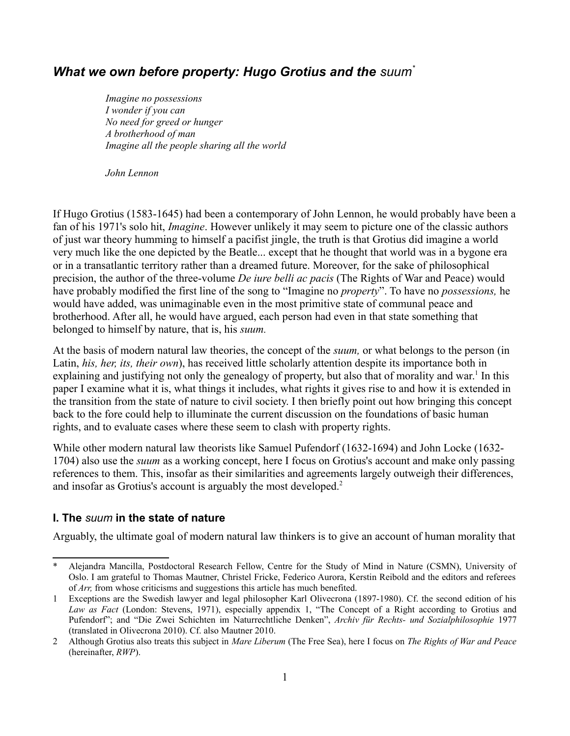# *What we own before property: Hugo Grotius and the suum[\\*](#page-0-0)*

*Imagine no possessions I wonder if you can No need for greed or hunger A brotherhood of man Imagine all the people sharing all the world*

*John Lennon*

If Hugo Grotius (1583-1645) had been a contemporary of John Lennon, he would probably have been a fan of his 1971's solo hit, *Imagine*. However unlikely it may seem to picture one of the classic authors of just war theory humming to himself a pacifist jingle, the truth is that Grotius did imagine a world very much like the one depicted by the Beatle... except that he thought that world was in a bygone era or in a transatlantic territory rather than a dreamed future. Moreover, for the sake of philosophical precision, the author of the three-volume *De iure belli ac pacis* (The Rights of War and Peace) would have probably modified the first line of the song to "Imagine no *property*". To have no *possessions,* he would have added, was unimaginable even in the most primitive state of communal peace and brotherhood. After all, he would have argued, each person had even in that state something that belonged to himself by nature, that is, his *suum.*

At the basis of modern natural law theories, the concept of the *suum,* or what belongs to the person (in Latin, *his, her, its, their own*), has received little scholarly attention despite its importance both in explaining and justifying not only the genealogy of property, but also that of morality and war.<sup>[1](#page-0-1)</sup> In this paper I examine what it is, what things it includes, what rights it gives rise to and how it is extended in the transition from the state of nature to civil society. I then briefly point out how bringing this concept back to the fore could help to illuminate the current discussion on the foundations of basic human rights, and to evaluate cases where these seem to clash with property rights.

While other modern natural law theorists like Samuel Pufendorf (1632-1694) and John Locke (1632- 1704) also use the *suum* as a working concept, here I focus on Grotius's account and make only passing references to them. This, insofar as their similarities and agreements largely outweigh their differences, and insofar as Grotius's account is arguably the most developed.<sup>[2](#page-0-2)</sup>

### **I. The** *suum* **in the state of nature**

Arguably, the ultimate goal of modern natural law thinkers is to give an account of human morality that

<span id="page-0-0"></span><sup>\*</sup> Alejandra Mancilla, Postdoctoral Research Fellow, Centre for the Study of Mind in Nature (CSMN), University of Oslo. I am grateful to Thomas Mautner, Christel Fricke, Federico Aurora, Kerstin Reibold and the editors and referees of *Arr,* from whose criticisms and suggestions this article has much benefited.

<span id="page-0-1"></span><sup>1</sup> Exceptions are the Swedish lawyer and legal philosopher Karl Olivecrona (1897-1980). Cf. the second edition of his *Law as Fact* (London: Stevens, 1971), especially appendix 1, "The Concept of a Right according to Grotius and Pufendorf"; and "Die Zwei Schichten im Naturrechtliche Denken", *Archiv für Rechts- und Sozialphilosophie* 1977 (translated in Olivecrona 2010). Cf. also Mautner 2010.

<span id="page-0-2"></span><sup>2</sup> Although Grotius also treats this subject in *Mare Liberum* (The Free Sea), here I focus on *The Rights of War and Peace* (hereinafter, *RWP*).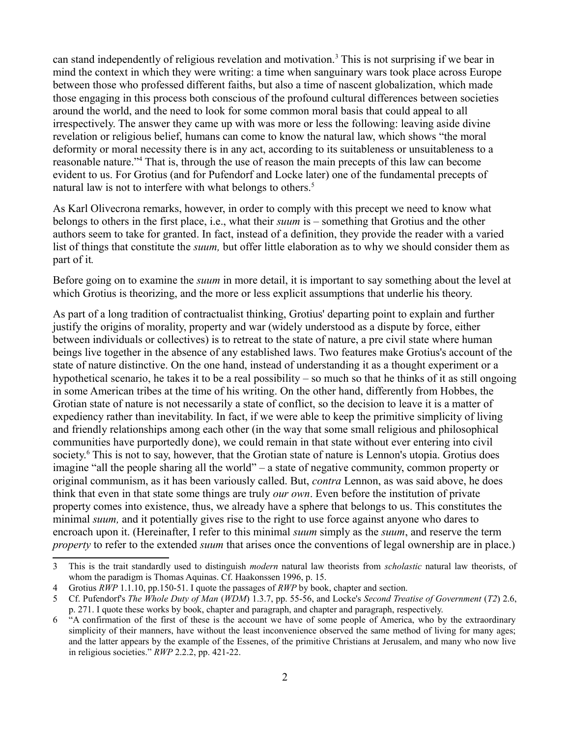can stand independently of religious revelation and motivation.<sup>[3](#page-1-0)</sup> This is not surprising if we bear in mind the context in which they were writing: a time when sanguinary wars took place across Europe between those who professed different faiths, but also a time of nascent globalization, which made those engaging in this process both conscious of the profound cultural differences between societies around the world, and the need to look for some common moral basis that could appeal to all irrespectively. The answer they came up with was more or less the following: leaving aside divine revelation or religious belief, humans can come to know the natural law, which shows "the moral deformity or moral necessity there is in any act, according to its suitableness or unsuitableness to a reasonable nature."<sup>[4](#page-1-1)</sup> That is, through the use of reason the main precepts of this law can become evident to us. For Grotius (and for Pufendorf and Locke later) one of the fundamental precepts of natural law is not to interfere with what belongs to others.<sup>[5](#page-1-2)</sup>

As Karl Olivecrona remarks, however, in order to comply with this precept we need to know what belongs to others in the first place, i.e., what their *suum* is – something that Grotius and the other authors seem to take for granted. In fact, instead of a definition, they provide the reader with a varied list of things that constitute the *suum,* but offer little elaboration as to why we should consider them as part of it*.*

Before going on to examine the *suum* in more detail, it is important to say something about the level at which Grotius is theorizing, and the more or less explicit assumptions that underlie his theory.

As part of a long tradition of contractualist thinking, Grotius' departing point to explain and further justify the origins of morality, property and war (widely understood as a dispute by force, either between individuals or collectives) is to retreat to the state of nature, a pre civil state where human beings live together in the absence of any established laws. Two features make Grotius's account of the state of nature distinctive. On the one hand, instead of understanding it as a thought experiment or a hypothetical scenario, he takes it to be a real possibility – so much so that he thinks of it as still ongoing in some American tribes at the time of his writing. On the other hand, differently from Hobbes, the Grotian state of nature is not necessarily a state of conflict, so the decision to leave it is a matter of expediency rather than inevitability. In fact, if we were able to keep the primitive simplicity of living and friendly relationships among each other (in the way that some small religious and philosophical communities have purportedly done), we could remain in that state without ever entering into civil society.<sup>[6](#page-1-3)</sup> This is not to say, however, that the Grotian state of nature is Lennon's utopia. Grotius does imagine "all the people sharing all the world" – a state of negative community, common property or original communism, as it has been variously called. But, *contra* Lennon, as was said above, he does think that even in that state some things are truly *our own*. Even before the institution of private property comes into existence, thus, we already have a sphere that belongs to us. This constitutes the minimal *suum,* and it potentially gives rise to the right to use force against anyone who dares to encroach upon it. (Hereinafter, I refer to this minimal *suum* simply as the *suum*, and reserve the term *property* to refer to the extended *suum* that arises once the conventions of legal ownership are in place.)

<span id="page-1-0"></span><sup>3</sup> This is the trait standardly used to distinguish *modern* natural law theorists from *scholastic* natural law theorists, of whom the paradigm is Thomas Aquinas. Cf. Haakonssen 1996, p. 15.

<span id="page-1-1"></span><sup>4</sup> Grotius *RWP* 1.1.10, pp.150-51. I quote the passages of *RWP* by book, chapter and section.

<span id="page-1-2"></span><sup>5</sup> Cf. Pufendorf's *The Whole Duty of Man* (*WDM*) 1.3.7, pp. 55-56, and Locke's *Second Treatise of Government* (*T2*) 2.6, p. 271. I quote these works by book, chapter and paragraph, and chapter and paragraph, respectively.

<span id="page-1-3"></span><sup>6</sup> "A confirmation of the first of these is the account we have of some people of America, who by the extraordinary simplicity of their manners, have without the least inconvenience observed the same method of living for many ages: and the latter appears by the example of the Essenes, of the primitive Christians at Jerusalem, and many who now live in religious societies." *RWP* 2.2.2, pp. 421-22.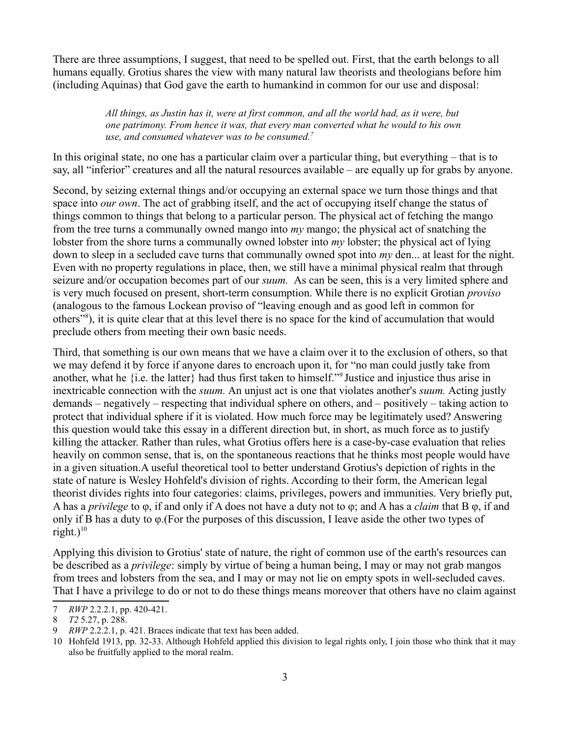There are three assumptions, I suggest, that need to be spelled out. First, that the earth belongs to all humans equally. Grotius shares the view with many natural law theorists and theologians before him (including Aquinas) that God gave the earth to humankind in common for our use and disposal:

> *All things, as Justin has it, were at first common, and all the world had, as it were, but one patrimony. From hence it was, that every man converted what he would to his own use, and consumed whatever was to be consumed.[7](#page-2-0)*

In this original state, no one has a particular claim over a particular thing, but everything – that is to say, all "inferior" creatures and all the natural resources available – are equally up for grabs by anyone.

Second, by seizing external things and/or occupying an external space we turn those things and that space into *our own*. The act of grabbing itself, and the act of occupying itself change the status of things common to things that belong to a particular person. The physical act of fetching the mango from the tree turns a communally owned mango into *my* mango; the physical act of snatching the lobster from the shore turns a communally owned lobster into *my* lobster; the physical act of lying down to sleep in a secluded cave turns that communally owned spot into *my* den... at least for the night. Even with no property regulations in place, then, we still have a minimal physical realm that through seizure and/or occupation becomes part of our *suum.* As can be seen, this is a very limited sphere and is very much focused on present, short-term consumption. While there is no explicit Grotian *proviso*  (analogous to the famous Lockean proviso of "leaving enough and as good left in common for others"[8](#page-2-1) ), it is quite clear that at this level there is no space for the kind of accumulation that would preclude others from meeting their own basic needs.

Third, that something is our own means that we have a claim over it to the exclusion of others, so that we may defend it by force if anyone dares to encroach upon it, for "no man could justly take from another, what he {i.e. the latter} had thus first taken to himself."[9](#page-2-2) Justice and injustice thus arise in inextricable connection with the *suum.* An unjust act is one that violates another's *suum.* Acting justly demands – negatively – respecting that individual sphere on others, and – positively – taking action to protect that individual sphere if it is violated. How much force may be legitimately used? Answering this question would take this essay in a different direction but, in short, as much force as to justify killing the attacker. Rather than rules, what Grotius offers here is a case-by-case evaluation that relies heavily on common sense, that is, on the spontaneous reactions that he thinks most people would have in a given situation.A useful theoretical tool to better understand Grotius's depiction of rights in the state of nature is Wesley Hohfeld's division of rights. According to their form, the American legal theorist divides rights into four categories: claims, privileges, powers and immunities. Very briefly put, A has a *privilege* to φ, if and only if A does not have a duty not to φ; and A has a *claim* that B φ, if and only if B has a duty to φ.(For the purposes of this discussion, I leave aside the other two types of right.)<sup>[10](#page-2-3)</sup>

Applying this division to Grotius' state of nature, the right of common use of the earth's resources can be described as a *privilege*: simply by virtue of being a human being, I may or may not grab mangos from trees and lobsters from the sea, and I may or may not lie on empty spots in well-secluded caves. That I have a privilege to do or not to do these things means moreover that others have no claim against

<span id="page-2-0"></span><sup>7</sup> *RWP* 2.2.2.1, pp. 420-421.

<span id="page-2-1"></span><sup>8</sup> *T2* 5.27, p. 288.

<span id="page-2-2"></span><sup>9</sup> *RWP* 2.2.2.1, p. 421. Braces indicate that text has been added.

<span id="page-2-3"></span><sup>10</sup> Hohfeld 1913, pp. 32-33. Although Hohfeld applied this division to legal rights only, I join those who think that it may also be fruitfully applied to the moral realm.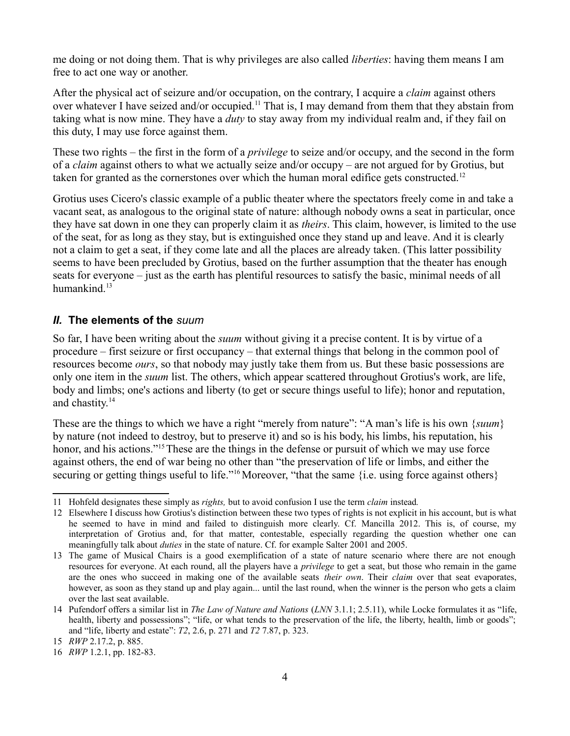me doing or not doing them. That is why privileges are also called *liberties*: having them means I am free to act one way or another.

After the physical act of seizure and/or occupation, on the contrary, I acquire a *claim* against others over whatever I have seized and/or occupied.<sup>[11](#page-3-0)</sup> That is, I may demand from them that they abstain from taking what is now mine. They have a *duty* to stay away from my individual realm and, if they fail on this duty, I may use force against them.

These two rights – the first in the form of a *privilege* to seize and/or occupy, and the second in the form of a *claim* against others to what we actually seize and/or occupy – are not argued for by Grotius, but taken for granted as the cornerstones over which the human moral edifice gets constructed.<sup>[12](#page-3-1)</sup>

Grotius uses Cicero's classic example of a public theater where the spectators freely come in and take a vacant seat, as analogous to the original state of nature: although nobody owns a seat in particular, once they have sat down in one they can properly claim it as *theirs*. This claim, however, is limited to the use of the seat, for as long as they stay, but is extinguished once they stand up and leave. And it is clearly not a claim to get a seat, if they come late and all the places are already taken. (This latter possibility seems to have been precluded by Grotius, based on the further assumption that the theater has enough seats for everyone – just as the earth has plentiful resources to satisfy the basic, minimal needs of all humankind $13$ 

### *II.* **The elements of the** *suum*

So far, I have been writing about the *suum* without giving it a precise content. It is by virtue of a procedure – first seizure or first occupancy – that external things that belong in the common pool of resources become *ours*, so that nobody may justly take them from us. But these basic possessions are only one item in the *suum* list. The others, which appear scattered throughout Grotius's work, are life, body and limbs; one's actions and liberty (to get or secure things useful to life); honor and reputation, and chastity.[14](#page-3-3)

These are the things to which we have a right "merely from nature": "A man's life is his own {*suum*} by nature (not indeed to destroy, but to preserve it) and so is his body, his limbs, his reputation, his honor, and his actions."<sup>[15](#page-3-4)</sup>These are the things in the defense or pursuit of which we may use force against others, the end of war being no other than "the preservation of life or limbs, and either the securing or getting things useful to life."<sup>[16](#page-3-5)</sup> Moreover, "that the same {i.e. using force against others}

<span id="page-3-0"></span><sup>11</sup> Hohfeld designates these simply as *rights,* but to avoid confusion I use the term *claim* instead*.*

<span id="page-3-1"></span><sup>12</sup> Elsewhere I discuss how Grotius's distinction between these two types of rights is not explicit in his account, but is what he seemed to have in mind and failed to distinguish more clearly. Cf. Mancilla 2012. This is, of course, my interpretation of Grotius and, for that matter, contestable, especially regarding the question whether one can meaningfully talk about *duties* in the state of nature. Cf. for example Salter 2001 and 2005.

<span id="page-3-2"></span><sup>13</sup> The game of Musical Chairs is a good exemplification of a state of nature scenario where there are not enough resources for everyone. At each round, all the players have a *privilege* to get a seat, but those who remain in the game are the ones who succeed in making one of the available seats *their own*. Their *claim* over that seat evaporates, however, as soon as they stand up and play again... until the last round, when the winner is the person who gets a claim over the last seat available.

<span id="page-3-3"></span><sup>14</sup> Pufendorf offers a similar list in *The Law of Nature and Nations* (*LNN* 3.1.1; 2.5.11), while Locke formulates it as "life, health, liberty and possessions"; "life, or what tends to the preservation of the life, the liberty, health, limb or goods"; and "life, liberty and estate": *T2*, 2.6, p. 271 and *T2* 7.87, p. 323.

<span id="page-3-4"></span><sup>15</sup> *RWP* 2.17.2, p. 885.

<span id="page-3-5"></span><sup>16</sup> *RWP* 1.2.1, pp. 182-83.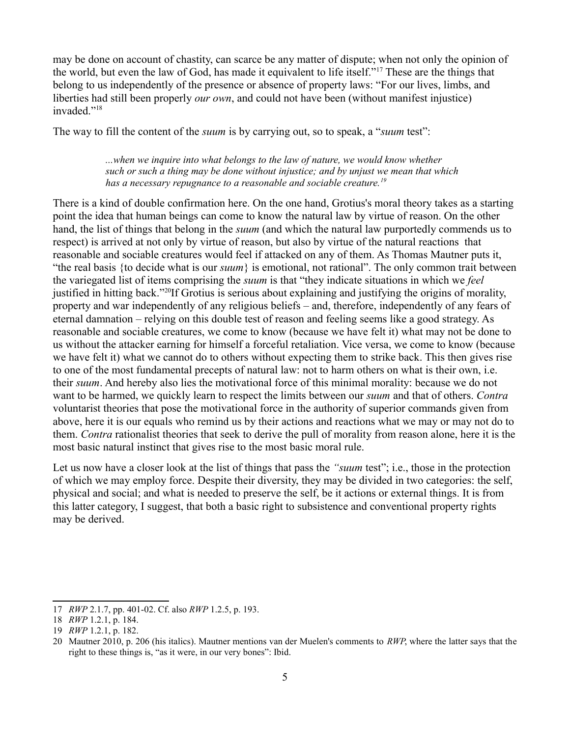may be done on account of chastity, can scarce be any matter of dispute; when not only the opinion of the world, but even the law of God, has made it equivalent to life itself."[17](#page-4-0) These are the things that belong to us independently of the presence or absence of property laws: "For our lives, limbs, and liberties had still been properly *our own*, and could not have been (without manifest injustice) invaded<sup>"[18](#page-4-1)</sup>

The way to fill the content of the *suum* is by carrying out, so to speak, a "*suum* test":

*...when we inquire into what belongs to the law of nature, we would know whether such or such a thing may be done without injustice; and by unjust we mean that which has a necessary repugnance to a reasonable and sociable creature.[19](#page-4-2)*

There is a kind of double confirmation here. On the one hand, Grotius's moral theory takes as a starting point the idea that human beings can come to know the natural law by virtue of reason. On the other hand, the list of things that belong in the *suum* (and which the natural law purportedly commends us to respect) is arrived at not only by virtue of reason, but also by virtue of the natural reactions that reasonable and sociable creatures would feel if attacked on any of them. As Thomas Mautner puts it, "the real basis {to decide what is our *suum*} is emotional, not rational". The only common trait between the variegated list of items comprising the *suum* is that "they indicate situations in which we *feel* justified in hitting back."[20](#page-4-3)If Grotius is serious about explaining and justifying the origins of morality, property and war independently of any religious beliefs – and, therefore, independently of any fears of eternal damnation – relying on this double test of reason and feeling seems like a good strategy. As reasonable and sociable creatures, we come to know (because we have felt it) what may not be done to us without the attacker earning for himself a forceful retaliation. Vice versa, we come to know (because we have felt it) what we cannot do to others without expecting them to strike back. This then gives rise to one of the most fundamental precepts of natural law: not to harm others on what is their own, i.e. their *suum*. And hereby also lies the motivational force of this minimal morality: because we do not want to be harmed, we quickly learn to respect the limits between our *suum* and that of others. *Contra* voluntarist theories that pose the motivational force in the authority of superior commands given from above, here it is our equals who remind us by their actions and reactions what we may or may not do to them. *Contra* rationalist theories that seek to derive the pull of morality from reason alone, here it is the most basic natural instinct that gives rise to the most basic moral rule.

Let us now have a closer look at the list of things that pass the *"suum* test"; i.e., those in the protection of which we may employ force. Despite their diversity, they may be divided in two categories: the self, physical and social; and what is needed to preserve the self, be it actions or external things. It is from this latter category, I suggest, that both a basic right to subsistence and conventional property rights may be derived.

<span id="page-4-0"></span><sup>17</sup> *RWP* 2.1.7, pp. 401-02. Cf. also *RWP* 1.2.5, p. 193.

<span id="page-4-1"></span><sup>18</sup> *RWP* 1.2.1, p. 184.

<span id="page-4-2"></span><sup>19</sup> *RWP* 1.2.1, p. 182.

<span id="page-4-3"></span><sup>20</sup> Mautner 2010, p. 206 (his italics). Mautner mentions van der Muelen's comments to *RWP*, where the latter says that the right to these things is, "as it were, in our very bones": Ibid.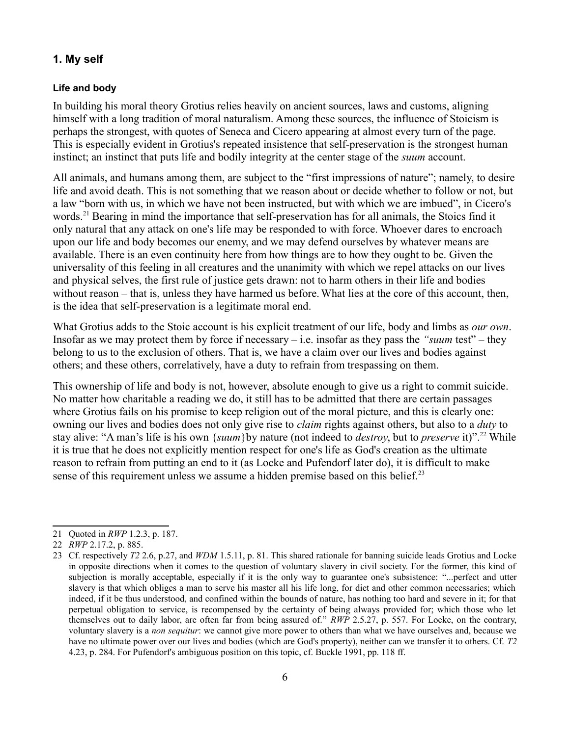### **1. My self**

#### **Life and body**

In building his moral theory Grotius relies heavily on ancient sources, laws and customs, aligning himself with a long tradition of moral naturalism. Among these sources, the influence of Stoicism is perhaps the strongest, with quotes of Seneca and Cicero appearing at almost every turn of the page. This is especially evident in Grotius's repeated insistence that self-preservation is the strongest human instinct; an instinct that puts life and bodily integrity at the center stage of the *suum* account.

All animals, and humans among them, are subject to the "first impressions of nature"; namely, to desire life and avoid death. This is not something that we reason about or decide whether to follow or not, but a law "born with us, in which we have not been instructed, but with which we are imbued", in Cicero's words.<sup>[21](#page-5-0)</sup> Bearing in mind the importance that self-preservation has for all animals, the Stoics find it only natural that any attack on one's life may be responded to with force. Whoever dares to encroach upon our life and body becomes our enemy, and we may defend ourselves by whatever means are available. There is an even continuity here from how things are to how they ought to be. Given the universality of this feeling in all creatures and the unanimity with which we repel attacks on our lives and physical selves, the first rule of justice gets drawn: not to harm others in their life and bodies without reason – that is, unless they have harmed us before.What lies at the core of this account, then, is the idea that self-preservation is a legitimate moral end.

What Grotius adds to the Stoic account is his explicit treatment of our life, body and limbs as *our own*. Insofar as we may protect them by force if necessary – i.e. insofar as they pass the *"suum* test" – they belong to us to the exclusion of others. That is, we have a claim over our lives and bodies against others; and these others, correlatively, have a duty to refrain from trespassing on them.

This ownership of life and body is not, however, absolute enough to give us a right to commit suicide. No matter how charitable a reading we do, it still has to be admitted that there are certain passages where Grotius fails on his promise to keep religion out of the moral picture, and this is clearly one: owning our lives and bodies does not only give rise to *claim* rights against others, but also to a *duty* to stay alive: "A man's life is his own {*suum*}by nature (not indeed to *destroy*, but to *preserve* it)".[22](#page-5-1) While it is true that he does not explicitly mention respect for one's life as God's creation as the ultimate reason to refrain from putting an end to it (as Locke and Pufendorf later do), it is difficult to make sense of this requirement unless we assume a hidden premise based on this belief.<sup>[23](#page-5-2)</sup>

<span id="page-5-0"></span><sup>21</sup> Quoted in *RWP* 1.2.3, p. 187.

<span id="page-5-1"></span><sup>22</sup> *RWP* 2.17.2, p. 885.

<span id="page-5-2"></span><sup>23</sup> Cf. respectively *T2* 2.6, p.27, and *WDM* 1.5.11, p. 81. This shared rationale for banning suicide leads Grotius and Locke in opposite directions when it comes to the question of voluntary slavery in civil society. For the former, this kind of subjection is morally acceptable, especially if it is the only way to guarantee one's subsistence: "...perfect and utter slavery is that which obliges a man to serve his master all his life long, for diet and other common necessaries; which indeed, if it be thus understood, and confined within the bounds of nature, has nothing too hard and severe in it; for that perpetual obligation to service, is recompensed by the certainty of being always provided for; which those who let themselves out to daily labor, are often far from being assured of." *RWP* 2.5.27, p. 557. For Locke, on the contrary, voluntary slavery is a *non sequitur*: we cannot give more power to others than what we have ourselves and, because we have no ultimate power over our lives and bodies (which are God's property), neither can we transfer it to others. Cf. *T2* 4.23, p. 284. For Pufendorf's ambiguous position on this topic, cf. Buckle 1991, pp. 118 ff.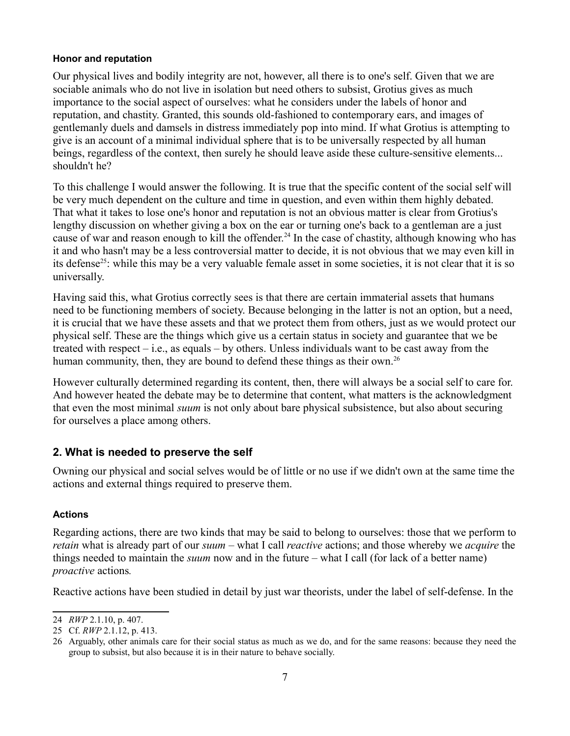#### **Honor and reputation**

Our physical lives and bodily integrity are not, however, all there is to one's self. Given that we are sociable animals who do not live in isolation but need others to subsist, Grotius gives as much importance to the social aspect of ourselves: what he considers under the labels of honor and reputation, and chastity. Granted, this sounds old-fashioned to contemporary ears, and images of gentlemanly duels and damsels in distress immediately pop into mind. If what Grotius is attempting to give is an account of a minimal individual sphere that is to be universally respected by all human beings, regardless of the context, then surely he should leave aside these culture-sensitive elements... shouldn't he?

To this challenge I would answer the following. It is true that the specific content of the social self will be very much dependent on the culture and time in question, and even within them highly debated. That what it takes to lose one's honor and reputation is not an obvious matter is clear from Grotius's lengthy discussion on whether giving a box on the ear or turning one's back to a gentleman are a just cause of war and reason enough to kill the offender.<sup>[24](#page-6-0)</sup> In the case of chastity, although knowing who has it and who hasn't may be a less controversial matter to decide, it is not obvious that we may even kill in its defense<sup>[25](#page-6-1)</sup>: while this may be a very valuable female asset in some societies, it is not clear that it is so universally.

Having said this, what Grotius correctly sees is that there are certain immaterial assets that humans need to be functioning members of society. Because belonging in the latter is not an option, but a need, it is crucial that we have these assets and that we protect them from others, just as we would protect our physical self. These are the things which give us a certain status in society and guarantee that we be treated with respect – i.e., as equals – by others. Unless individuals want to be cast away from the human community, then, they are bound to defend these things as their own.<sup>[26](#page-6-2)</sup>

However culturally determined regarding its content, then, there will always be a social self to care for. And however heated the debate may be to determine that content, what matters is the acknowledgment that even the most minimal *suum* is not only about bare physical subsistence, but also about securing for ourselves a place among others.

### **2. What is needed to preserve the self**

Owning our physical and social selves would be of little or no use if we didn't own at the same time the actions and external things required to preserve them.

### **Actions**

Regarding actions, there are two kinds that may be said to belong to ourselves: those that we perform to *retain* what is already part of our *suum* – what I call *reactive* actions; and those whereby we *acquire* the things needed to maintain the *suum* now and in the future *–* what I call (for lack of a better name) *proactive* actions*.*

Reactive actions have been studied in detail by just war theorists, under the label of self-defense. In the

<span id="page-6-0"></span><sup>24</sup> *RWP* 2.1.10, p. 407.

<span id="page-6-1"></span><sup>25</sup> Cf. *RWP* 2.1.12, p. 413.

<span id="page-6-2"></span><sup>26</sup> Arguably, other animals care for their social status as much as we do, and for the same reasons: because they need the group to subsist, but also because it is in their nature to behave socially.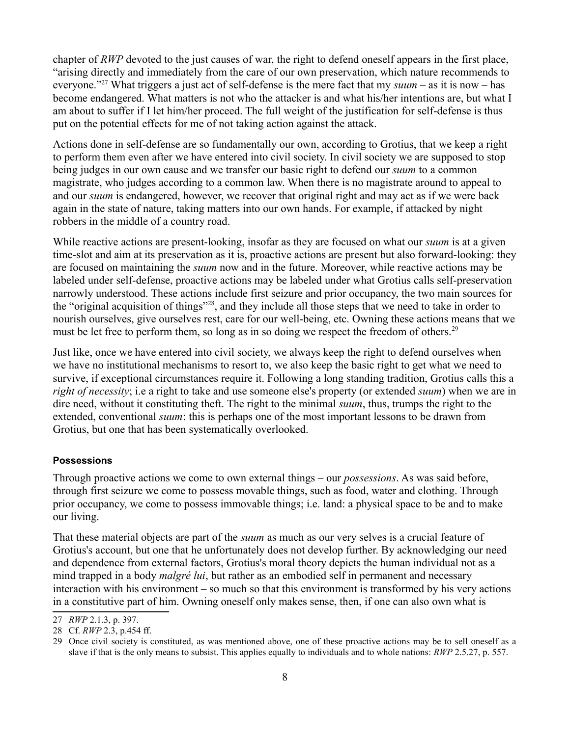chapter of *RWP* devoted to the just causes of war, the right to defend oneself appears in the first place, "arising directly and immediately from the care of our own preservation, which nature recommends to everyone."[27](#page-7-0) What triggers a just act of self-defense is the mere fact that my *suum* – as it is now – has become endangered. What matters is not who the attacker is and what his/her intentions are, but what I am about to suffer if I let him/her proceed. The full weight of the justification for self-defense is thus put on the potential effects for me of not taking action against the attack.

Actions done in self-defense are so fundamentally our own, according to Grotius, that we keep a right to perform them even after we have entered into civil society. In civil society we are supposed to stop being judges in our own cause and we transfer our basic right to defend our *suum* to a common magistrate, who judges according to a common law. When there is no magistrate around to appeal to and our *suum* is endangered, however, we recover that original right and may act as if we were back again in the state of nature, taking matters into our own hands. For example, if attacked by night robbers in the middle of a country road.

While reactive actions are present-looking, insofar as they are focused on what our *suum* is at a given time-slot and aim at its preservation as it is, proactive actions are present but also forward-looking: they are focused on maintaining the *suum* now and in the future. Moreover, while reactive actions may be labeled under self-defense, proactive actions may be labeled under what Grotius calls self-preservation narrowly understood. These actions include first seizure and prior occupancy, the two main sources for the "original acquisition of things"[28](#page-7-1), and they include all those steps that we need to take in order to nourish ourselves, give ourselves rest, care for our well-being, etc. Owning these actions means that we must be let free to perform them, so long as in so doing we respect the freedom of others.<sup>[29](#page-7-2)</sup>

Just like, once we have entered into civil society, we always keep the right to defend ourselves when we have no institutional mechanisms to resort to, we also keep the basic right to get what we need to survive, if exceptional circumstances require it. Following a long standing tradition, Grotius calls this a *right of necessity*; i.e a right to take and use someone else's property (or extended *suum*) when we are in dire need, without it constituting theft. The right to the minimal *suum*, thus, trumps the right to the extended, conventional *suum*: this is perhaps one of the most important lessons to be drawn from Grotius, but one that has been systematically overlooked.

### **Possessions**

Through proactive actions we come to own external things – our *possessions*. As was said before, through first seizure we come to possess movable things, such as food, water and clothing. Through prior occupancy, we come to possess immovable things; i.e. land: a physical space to be and to make our living.

That these material objects are part of the *suum* as much as our very selves is a crucial feature of Grotius's account, but one that he unfortunately does not develop further. By acknowledging our need and dependence from external factors, Grotius's moral theory depicts the human individual not as a mind trapped in a body *malgré lui*, but rather as an embodied self in permanent and necessary interaction with his environment – so much so that this environment is transformed by his very actions in a constitutive part of him. Owning oneself only makes sense, then, if one can also own what is

<span id="page-7-0"></span><sup>27</sup> *RWP* 2.1.3, p. 397.

<span id="page-7-1"></span><sup>28</sup> Cf. *RWP* 2.3, p.454 ff.

<span id="page-7-2"></span><sup>29</sup> Once civil society is constituted, as was mentioned above, one of these proactive actions may be to sell oneself as a slave if that is the only means to subsist. This applies equally to individuals and to whole nations: *RWP* 2.5.27, p. 557.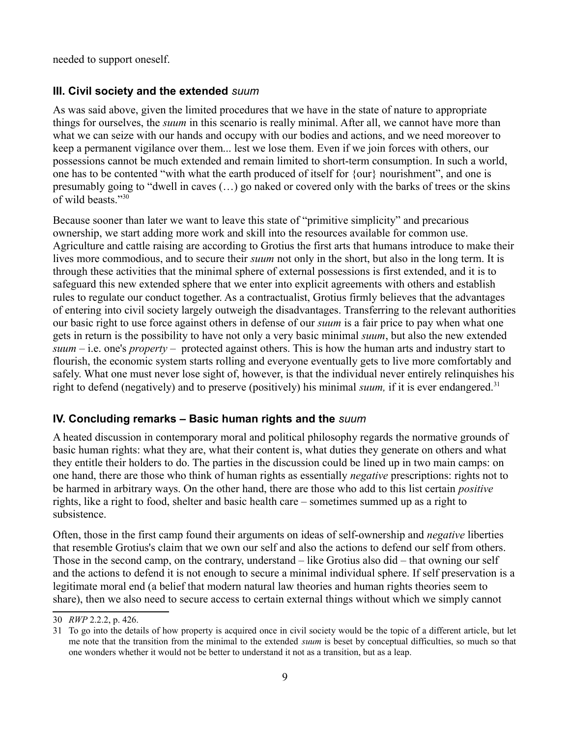needed to support oneself.

# **III. Civil society and the extended** *suum*

As was said above, given the limited procedures that we have in the state of nature to appropriate things for ourselves, the *suum* in this scenario is really minimal. After all, we cannot have more than what we can seize with our hands and occupy with our bodies and actions, and we need moreover to keep a permanent vigilance over them... lest we lose them. Even if we join forces with others, our possessions cannot be much extended and remain limited to short-term consumption. In such a world, one has to be contented "with what the earth produced of itself for {our} nourishment", and one is presumably going to "dwell in caves (…) go naked or covered only with the barks of trees or the skins of wild beasts<sup>"[30](#page-8-0)</sup>

Because sooner than later we want to leave this state of "primitive simplicity" and precarious ownership, we start adding more work and skill into the resources available for common use. Agriculture and cattle raising are according to Grotius the first arts that humans introduce to make their lives more commodious, and to secure their *suum* not only in the short, but also in the long term. It is through these activities that the minimal sphere of external possessions is first extended, and it is to safeguard this new extended sphere that we enter into explicit agreements with others and establish rules to regulate our conduct together. As a contractualist, Grotius firmly believes that the advantages of entering into civil society largely outweigh the disadvantages. Transferring to the relevant authorities our basic right to use force against others in defense of our *suum* is a fair price to pay when what one gets in return is the possibility to have not only a very basic minimal *suum*, but also the new extended *suum* – i.e. one's *property –* protected against others. This is how the human arts and industry start to flourish, the economic system starts rolling and everyone eventually gets to live more comfortably and safely. What one must never lose sight of, however, is that the individual never entirely relinquishes his right to defend (negatively) and to preserve (positively) his minimal *suum*, if it is ever endangered.<sup>[31](#page-8-1)</sup>

# **IV. Concluding remarks – Basic human rights and the** *suum*

A heated discussion in contemporary moral and political philosophy regards the normative grounds of basic human rights: what they are, what their content is, what duties they generate on others and what they entitle their holders to do. The parties in the discussion could be lined up in two main camps: on one hand, there are those who think of human rights as essentially *negative* prescriptions: rights not to be harmed in arbitrary ways. On the other hand, there are those who add to this list certain *positive* rights, like a right to food, shelter and basic health care – sometimes summed up as a right to subsistence.

Often, those in the first camp found their arguments on ideas of self-ownership and *negative* liberties that resemble Grotius's claim that we own our self and also the actions to defend our self from others. Those in the second camp, on the contrary, understand – like Grotius also did – that owning our self and the actions to defend it is not enough to secure a minimal individual sphere. If self preservation is a legitimate moral end (a belief that modern natural law theories and human rights theories seem to share), then we also need to secure access to certain external things without which we simply cannot

<span id="page-8-0"></span><sup>30</sup> *RWP* 2.2.2, p. 426.

<span id="page-8-1"></span><sup>31</sup> To go into the details of how property is acquired once in civil society would be the topic of a different article, but let me note that the transition from the minimal to the extended *suum* is beset by conceptual difficulties, so much so that one wonders whether it would not be better to understand it not as a transition, but as a leap.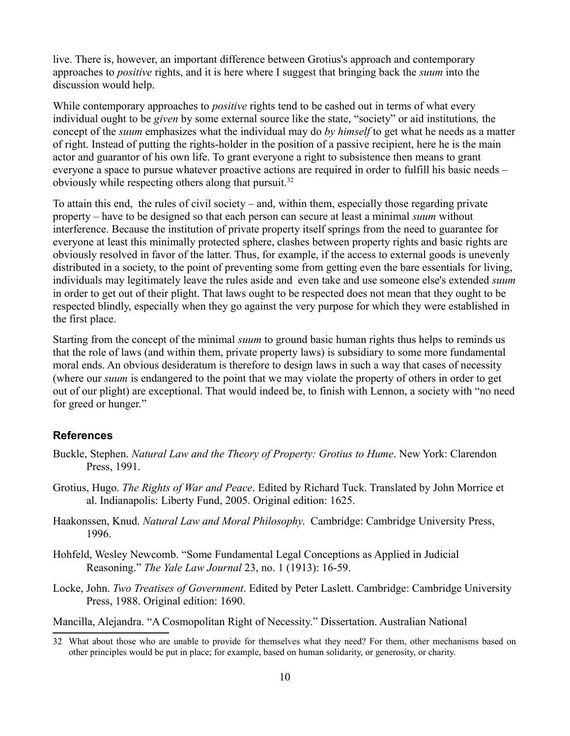live. There is, however, an important difference between Grotius's approach and contemporary approaches to *positive* rights, and it is here where I suggest that bringing back the *suum* into the discussion would help.

While contemporary approaches to *positive* rights tend to be cashed out in terms of what every individual ought to be *given* by some external source like the state, "society" or aid institutions*,* the concept of the *suum* emphasizes what the individual may do *by himself* to get what he needs as a matter of right. Instead of putting the rights-holder in the position of a passive recipient, here he is the main actor and guarantor of his own life. To grant everyone a right to subsistence then means to grant everyone a space to pursue whatever proactive actions are required in order to fulfill his basic needs – obviously while respecting others along that pursuit.<sup>[32](#page-9-0)</sup>

To attain this end, the rules of civil society – and, within them, especially those regarding private property – have to be designed so that each person can secure at least a minimal *suum* without interference. Because the institution of private property itself springs from the need to guarantee for everyone at least this minimally protected sphere, clashes between property rights and basic rights are obviously resolved in favor of the latter. Thus, for example, if the access to external goods is unevenly distributed in a society, to the point of preventing some from getting even the bare essentials for living, individuals may legitimately leave the rules aside and even take and use someone else's extended *suum* in order to get out of their plight. That laws ought to be respected does not mean that they ought to be respected blindly, especially when they go against the very purpose for which they were established in the first place.

Starting from the concept of the minimal *suum* to ground basic human rights thus helps to reminds us that the role of laws (and within them, private property laws) is subsidiary to some more fundamental moral ends. An obvious desideratum is therefore to design laws in such a way that cases of necessity (where our *suum* is endangered to the point that we may violate the property of others in order to get out of our plight) are exceptional. That would indeed be, to finish with Lennon, a society with "no need for greed or hunger."

### **References**

- Buckle, Stephen. *Natural Law and the Theory of Property: Grotius to Hume*. New York: Clarendon Press, 1991.
- Grotius, Hugo. *The Rights of War and Peace*. Edited by Richard Tuck. Translated by John Morrice et al. Indianapolis: Liberty Fund, 2005. Original edition: 1625.
- Haakonssen, Knud. *Natural Law and Moral Philosophy*. Cambridge: Cambridge University Press, 1996.
- Hohfeld, Wesley Newcomb. "Some Fundamental Legal Conceptions as Applied in Judicial Reasoning." *The Yale Law Journal* 23, no. 1 (1913): 16-59.
- Locke, John. *Two Treatises of Government*. Edited by Peter Laslett. Cambridge: Cambridge University Press, 1988. Original edition: 1690.

Mancilla, Alejandra. "A Cosmopolitan Right of Necessity." Dissertation. Australian National

<span id="page-9-0"></span><sup>32</sup> What about those who are unable to provide for themselves what they need? For them, other mechanisms based on other principles would be put in place; for example, based on human solidarity, or generosity, or charity.